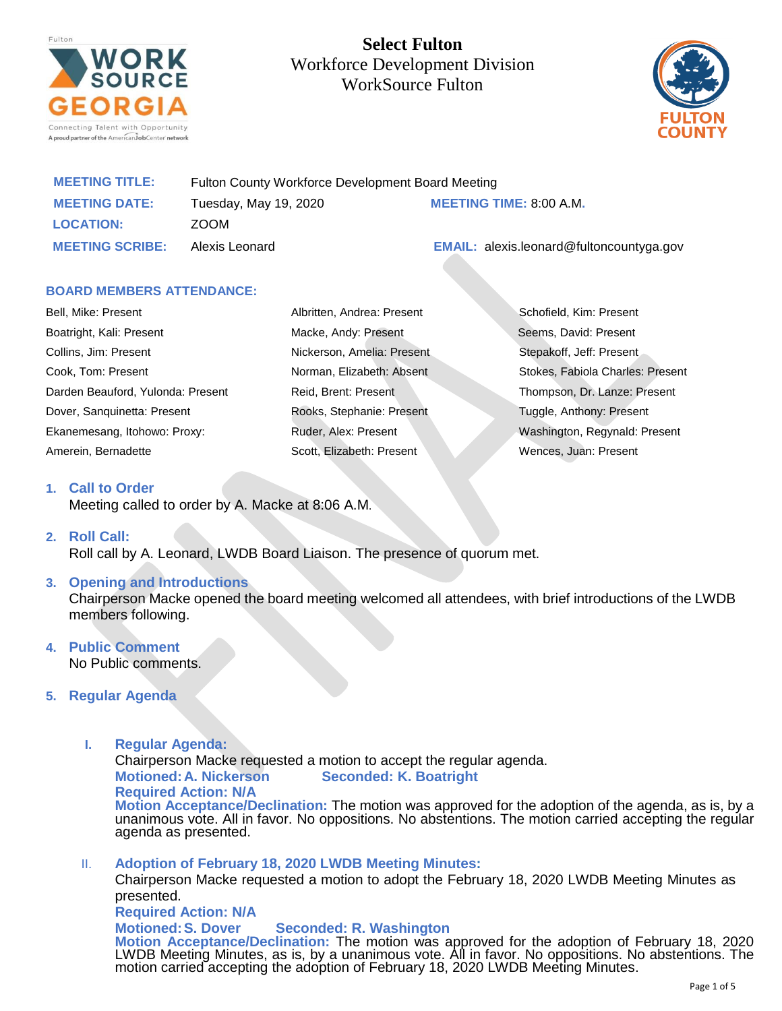

**Select Fulton**  Workforce Development Division WorkSource Fulton



| <b>MEETING TITLE:</b>  | Fulton County Workforce Development Board Meeting |                                                 |
|------------------------|---------------------------------------------------|-------------------------------------------------|
| <b>MEETING DATE:</b>   | Tuesday, May 19, 2020                             | <b>MEETING TIME: 8:00 A.M.</b>                  |
| <b>LOCATION:</b>       | ZOOM                                              |                                                 |
| <b>MEETING SCRIBE:</b> | Alexis Leonard                                    | <b>EMAIL:</b> alexis.leonard@fultoncountyga.gov |

#### **BOARD MEMBERS ATTENDANCE:**

| Bell, Mike: Present               | Albritten, Andrea: Present | Schofield, Kim: Present          |
|-----------------------------------|----------------------------|----------------------------------|
| Boatright, Kali: Present          | Macke, Andy: Present       | Seems, David: Present            |
| Collins, Jim: Present             | Nickerson, Amelia: Present | Stepakoff, Jeff: Present         |
| Cook, Tom: Present                | Norman, Elizabeth: Absent  | Stokes, Fabiola Charles: Present |
| Darden Beauford, Yulonda: Present | Reid, Brent: Present       | Thompson, Dr. Lanze: Present     |
| Dover, Sanguinetta: Present       | Rooks, Stephanie: Present  | Tuggle, Anthony: Present         |
| Ekanemesang, Itohowo: Proxy:      | Ruder, Alex: Present       | Washington, Regynald: Present    |
| Amerein, Bernadette               | Scott, Elizabeth: Present  | Wences, Juan: Present            |

#### **1. Call to Order**

Meeting called to order by A. Macke at 8:06 A.M.

#### **2. Roll Call:**

Roll call by A. Leonard, LWDB Board Liaison. The presence of quorum met.

## **3. Opening and Introductions**

Chairperson Macke opened the board meeting welcomed all attendees, with brief introductions of the LWDB members following.

# **4. Public Comment**

No Public comments.

# **5. Regular Agenda**

**I. Regular Agenda:**

Chairperson Macke requested a motion to accept the regular agenda.

**Motioned:A. Nickerson Seconded: K. Boatright**

**Required Action: N/A**

**Motion Acceptance/Declination:** The motion was approved for the adoption of the agenda, as is, by a unanimous vote. All in favor. No oppositions. No abstentions. The motion carried accepting the regular agenda as presented.

II. **Adoption of February 18, 2020 LWDB Meeting Minutes:** Chairperson Macke requested a motion to adopt the February 18, 2020 LWDB Meeting Minutes as presented. **Required Action: N/A Motioned:S. Dover Seconded: R. Washington Motion Acceptance/Declination:** The motion was approved for the adoption of February 18, 2020 LWDB Meeting Minutes, as is, by a unanimous vote. All in favor. No oppositions. No abstentions. The motion carried accepting the adoption of February 18, 2020 LWDB Meeting Minutes.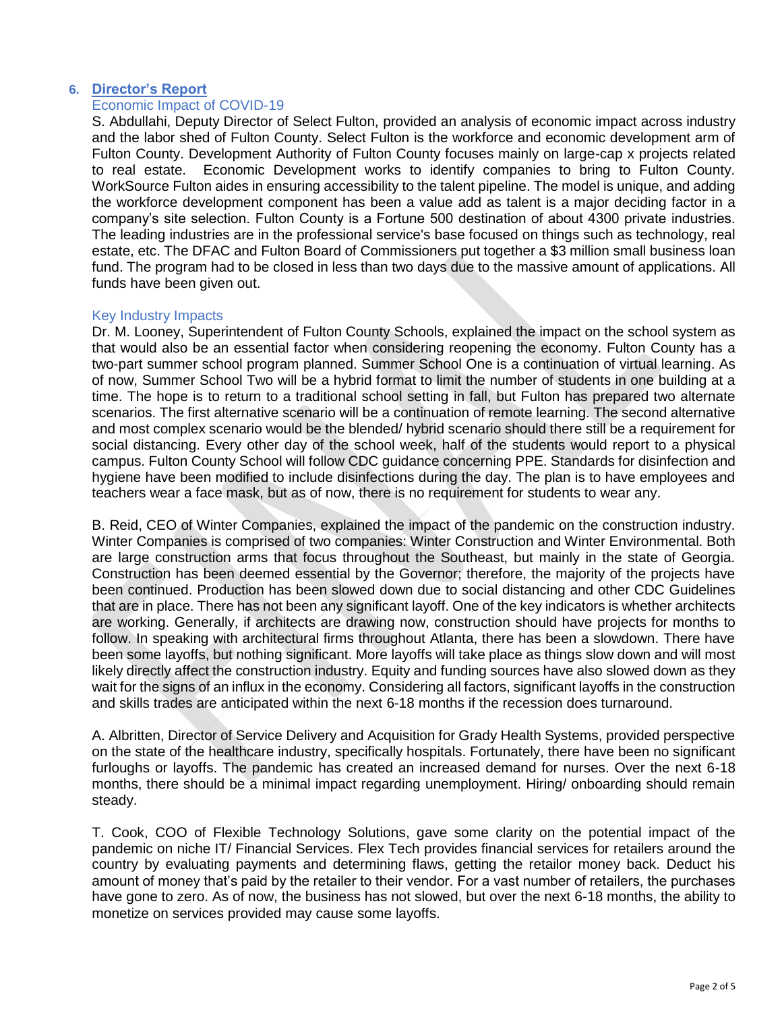#### **6. Director's Report** Economic Impact of COVID-19

S. Abdullahi, Deputy Director of Select Fulton, provided an analysis of economic impact across industry and the labor shed of Fulton County. Select Fulton is the workforce and economic development arm of Fulton County. Development Authority of Fulton County focuses mainly on large-cap x projects related to real estate. Economic Development works to identify companies to bring to Fulton County. WorkSource Fulton aides in ensuring accessibility to the talent pipeline. The model is unique, and adding the workforce development component has been a value add as talent is a major deciding factor in a company's site selection. Fulton County is a Fortune 500 destination of about 4300 private industries. The leading industries are in the professional service's base focused on things such as technology, real estate, etc. The DFAC and Fulton Board of Commissioners put together a \$3 million small business loan fund. The program had to be closed in less than two days due to the massive amount of applications. All funds have been given out.

# Key Industry Impacts

Dr. M. Looney, Superintendent of Fulton County Schools, explained the impact on the school system as that would also be an essential factor when considering reopening the economy. Fulton County has a two-part summer school program planned. Summer School One is a continuation of virtual learning. As of now, Summer School Two will be a hybrid format to limit the number of students in one building at a time. The hope is to return to a traditional school setting in fall, but Fulton has prepared two alternate scenarios. The first alternative scenario will be a continuation of remote learning. The second alternative and most complex scenario would be the blended/ hybrid scenario should there still be a requirement for social distancing. Every other day of the school week, half of the students would report to a physical campus. Fulton County School will follow CDC guidance concerning PPE. Standards for disinfection and hygiene have been modified to include disinfections during the day. The plan is to have employees and teachers wear a face mask, but as of now, there is no requirement for students to wear any.

B. Reid, CEO of Winter Companies, explained the impact of the pandemic on the construction industry. Winter Companies is comprised of two companies: Winter Construction and Winter Environmental. Both are large construction arms that focus throughout the Southeast, but mainly in the state of Georgia. Construction has been deemed essential by the Governor; therefore, the majority of the projects have been continued. Production has been slowed down due to social distancing and other CDC Guidelines that are in place. There has not been any significant layoff. One of the key indicators is whether architects are working. Generally, if architects are drawing now, construction should have projects for months to follow. In speaking with architectural firms throughout Atlanta, there has been a slowdown. There have been some layoffs, but nothing significant. More layoffs will take place as things slow down and will most likely directly affect the construction industry. Equity and funding sources have also slowed down as they wait for the signs of an influx in the economy. Considering all factors, significant layoffs in the construction and skills trades are anticipated within the next 6-18 months if the recession does turnaround.

A. Albritten, Director of Service Delivery and Acquisition for Grady Health Systems, provided perspective on the state of the healthcare industry, specifically hospitals. Fortunately, there have been no significant furloughs or layoffs. The pandemic has created an increased demand for nurses. Over the next 6-18 months, there should be a minimal impact regarding unemployment. Hiring/ onboarding should remain steady.

T. Cook, COO of Flexible Technology Solutions, gave some clarity on the potential impact of the pandemic on niche IT/ Financial Services. Flex Tech provides financial services for retailers around the country by evaluating payments and determining flaws, getting the retailor money back. Deduct his amount of money that's paid by the retailer to their vendor. For a vast number of retailers, the purchases have gone to zero. As of now, the business has not slowed, but over the next 6-18 months, the ability to monetize on services provided may cause some layoffs.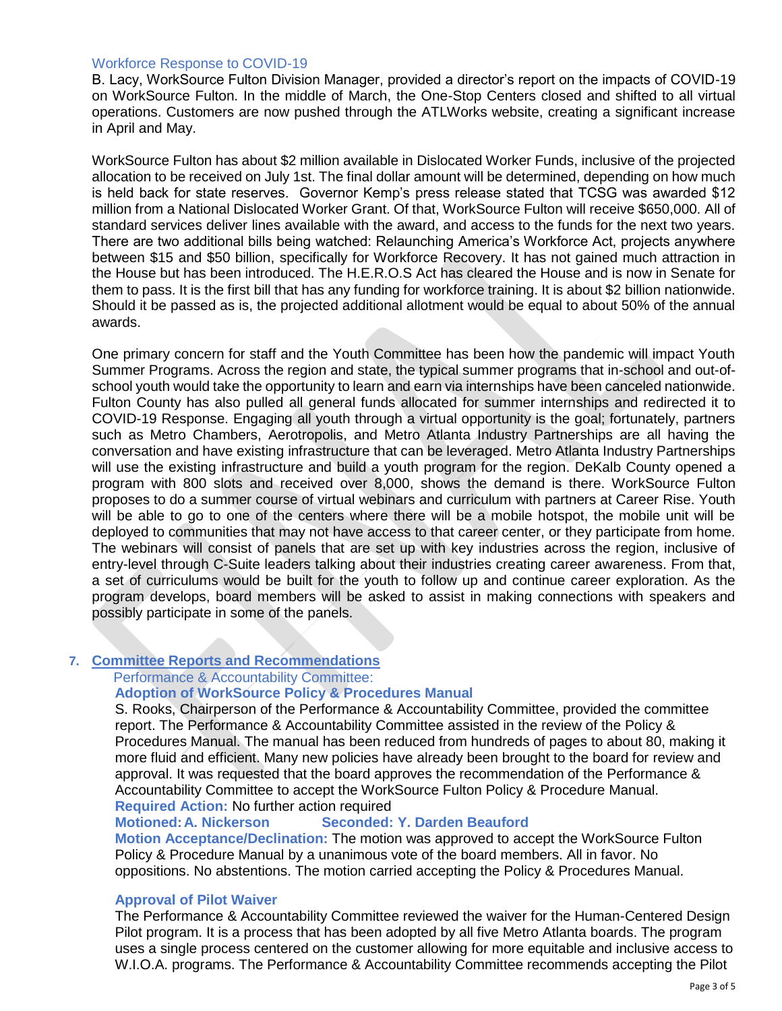#### Workforce Response to COVID-19

B. Lacy, WorkSource Fulton Division Manager, provided a director's report on the impacts of COVID-19 on WorkSource Fulton. In the middle of March, the One-Stop Centers closed and shifted to all virtual operations. Customers are now pushed through the ATLWorks website, creating a significant increase in April and May.

WorkSource Fulton has about \$2 million available in Dislocated Worker Funds, inclusive of the projected allocation to be received on July 1st. The final dollar amount will be determined, depending on how much is held back for state reserves. Governor Kemp's press release stated that TCSG was awarded \$12 million from a National Dislocated Worker Grant. Of that, WorkSource Fulton will receive \$650,000. All of standard services deliver lines available with the award, and access to the funds for the next two years. There are two additional bills being watched: Relaunching America's Workforce Act, projects anywhere between \$15 and \$50 billion, specifically for Workforce Recovery. It has not gained much attraction in the House but has been introduced. The H.E.R.O.S Act has cleared the House and is now in Senate for them to pass. It is the first bill that has any funding for workforce training. It is about \$2 billion nationwide. Should it be passed as is, the projected additional allotment would be equal to about 50% of the annual awards.

One primary concern for staff and the Youth Committee has been how the pandemic will impact Youth Summer Programs. Across the region and state, the typical summer programs that in-school and out-ofschool youth would take the opportunity to learn and earn via internships have been canceled nationwide. Fulton County has also pulled all general funds allocated for summer internships and redirected it to COVID-19 Response. Engaging all youth through a virtual opportunity is the goal; fortunately, partners such as Metro Chambers, Aerotropolis, and Metro Atlanta Industry Partnerships are all having the conversation and have existing infrastructure that can be leveraged. Metro Atlanta Industry Partnerships will use the existing infrastructure and build a youth program for the region. DeKalb County opened a program with 800 slots and received over 8,000, shows the demand is there. WorkSource Fulton proposes to do a summer course of virtual webinars and curriculum with partners at Career Rise. Youth will be able to go to one of the centers where there will be a mobile hotspot, the mobile unit will be deployed to communities that may not have access to that career center, or they participate from home. The webinars will consist of panels that are set up with key industries across the region, inclusive of entry-level through C-Suite leaders talking about their industries creating career awareness. From that, a set of curriculums would be built for the youth to follow up and continue career exploration. As the program develops, board members will be asked to assist in making connections with speakers and possibly participate in some of the panels.

# **7. Committee Reports and Recommendations**

#### Performance & Accountability Committee:

## **Adoption of WorkSource Policy & Procedures Manual**

S. Rooks, Chairperson of the Performance & Accountability Committee, provided the committee report. The Performance & Accountability Committee assisted in the review of the Policy & Procedures Manual. The manual has been reduced from hundreds of pages to about 80, making it more fluid and efficient. Many new policies have already been brought to the board for review and approval. It was requested that the board approves the recommendation of the Performance & Accountability Committee to accept the WorkSource Fulton Policy & Procedure Manual. **Required Action:** No further action required

## **Motioned:A. Nickerson Seconded: Y. Darden Beauford**

**Motion Acceptance/Declination:** The motion was approved to accept the WorkSource Fulton Policy & Procedure Manual by a unanimous vote of the board members. All in favor. No oppositions. No abstentions. The motion carried accepting the Policy & Procedures Manual.

## **Approval of Pilot Waiver**

The Performance & Accountability Committee reviewed the waiver for the Human-Centered Design Pilot program. It is a process that has been adopted by all five Metro Atlanta boards. The program uses a single process centered on the customer allowing for more equitable and inclusive access to W.I.O.A. programs. The Performance & Accountability Committee recommends accepting the Pilot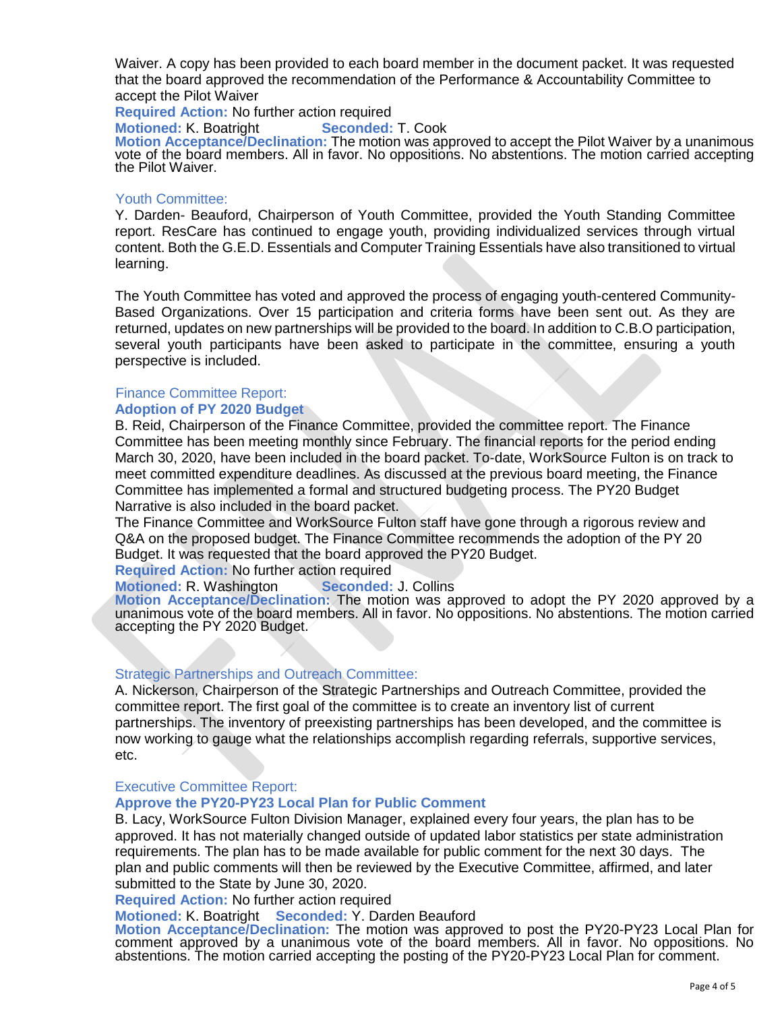Waiver. A copy has been provided to each board member in the document packet. It was requested that the board approved the recommendation of the Performance & Accountability Committee to accept the Pilot Waiver

**Required Action:** No further action required

**Motioned:** K. Boatright **Seconded:** T. Cook

**Motion Acceptance/Declination:** The motion was approved to accept the Pilot Waiver by a unanimous vote of the board members. All in favor. No oppositions. No abstentions. The motion carried accepting the Pilot Waiver.

#### Youth Committee:

Y. Darden- Beauford, Chairperson of Youth Committee, provided the Youth Standing Committee report. ResCare has continued to engage youth, providing individualized services through virtual content. Both the G.E.D. Essentials and Computer Training Essentials have also transitioned to virtual learning.

The Youth Committee has voted and approved the process of engaging youth-centered Community-Based Organizations. Over 15 participation and criteria forms have been sent out. As they are returned, updates on new partnerships will be provided to the board. In addition to C.B.O participation, several youth participants have been asked to participate in the committee, ensuring a youth perspective is included.

## Finance Committee Report:

## **Adoption of PY 2020 Budget**

B. Reid, Chairperson of the Finance Committee, provided the committee report. The Finance Committee has been meeting monthly since February. The financial reports for the period ending March 30, 2020, have been included in the board packet. To-date, WorkSource Fulton is on track to meet committed expenditure deadlines. As discussed at the previous board meeting, the Finance Committee has implemented a formal and structured budgeting process. The PY20 Budget Narrative is also included in the board packet.

The Finance Committee and WorkSource Fulton staff have gone through a rigorous review and Q&A on the proposed budget. The Finance Committee recommends the adoption of the PY 20 Budget. It was requested that the board approved the PY20 Budget.

**Required Action:** No further action required

**Motioned:** R. Washington **Seconded:** J. Collins

**Motion Acceptance/Declination:** The motion was approved to adopt the PY 2020 approved by a unanimous vote of the board members. All in favor. No oppositions. No abstentions. The motion carried accepting the PY 2020 Budget.

## Strategic Partnerships and Outreach Committee:

A. Nickerson, Chairperson of the Strategic Partnerships and Outreach Committee, provided the committee report. The first goal of the committee is to create an inventory list of current partnerships. The inventory of preexisting partnerships has been developed, and the committee is now working to gauge what the relationships accomplish regarding referrals, supportive services, etc.

#### Executive Committee Report:

## **Approve the PY20-PY23 Local Plan for Public Comment**

B. Lacy, WorkSource Fulton Division Manager, explained every four years, the plan has to be approved. It has not materially changed outside of updated labor statistics per state administration requirements. The plan has to be made available for public comment for the next 30 days. The plan and public comments will then be reviewed by the Executive Committee, affirmed, and later submitted to the State by June 30, 2020.

**Required Action:** No further action required

**Motioned:** K. Boatright **Seconded:** Y. Darden Beauford

**Motion Acceptance/Declination:** The motion was approved to post the PY20-PY23 Local Plan for comment approved by a unanimous vote of the board members. All in favor. No oppositions. No abstentions. The motion carried accepting the posting of the PY20-PY23 Local Plan for comment.